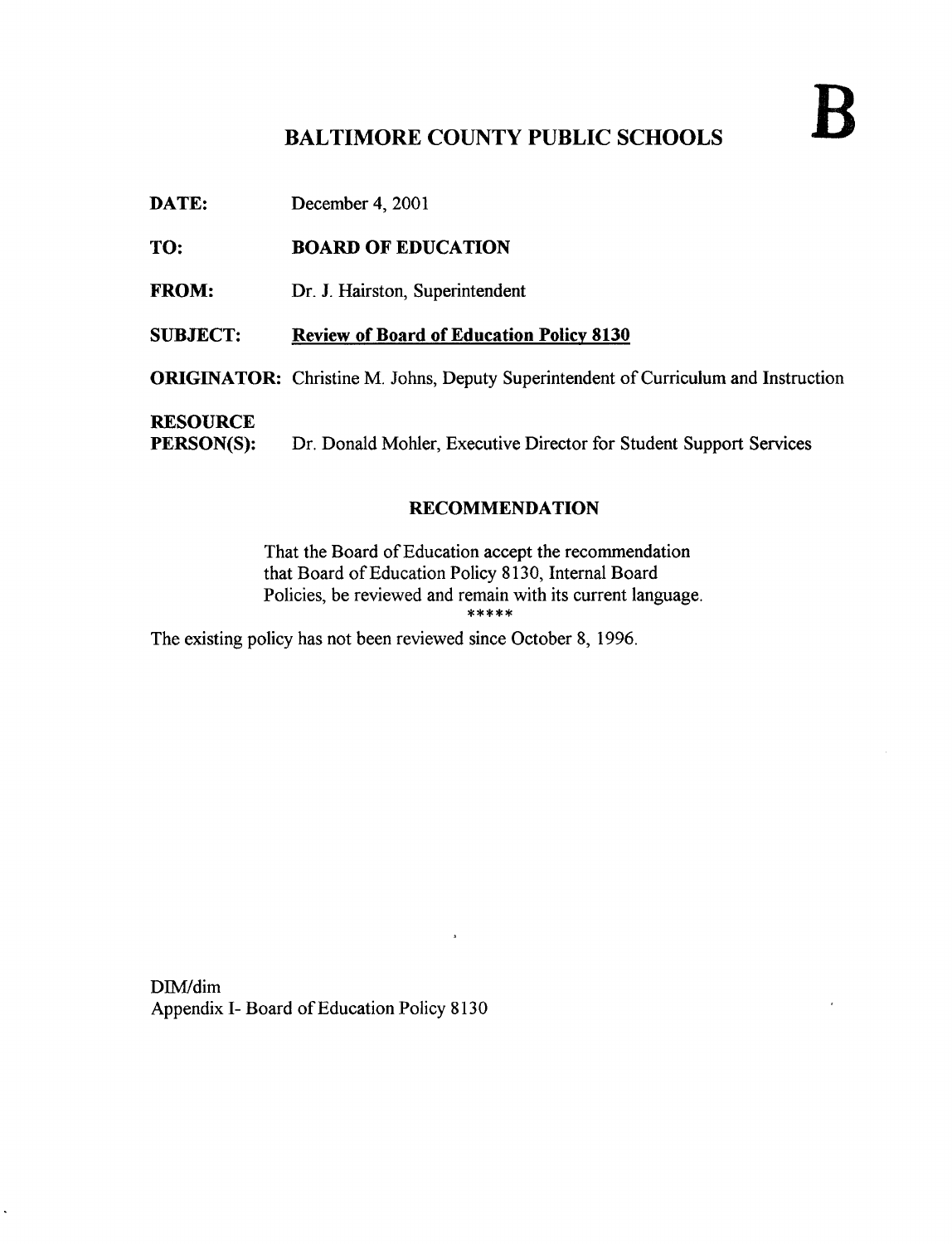# BALTIMORE COUNTY PUBLIC SCHOOLS

DATE: December 4, 2001

### TO: BOARD OF EDUCATION

FROM: Dr. J. Hairston, Superintendent

### SUBJECT: Review of Board of Education Policy 8130

ORIGINATOR: Christine M. Johns, Deputy Superintendent of Curriculum and Instruction

i,

**RESOURCE**<br>PERSON(S): Dr. Donald Mohler, Executive Director for Student Support Services

#### RECOMMENDATION

That the Board of Education accept the recommendation that Board of Education Policy 8130, Internal Board Policies, be reviewed and remain with its current language.<br>\*\*\*\*\*

The existing policy has not been reviewed since October 8, 1996.

DIM/dim Appendix I- Board of Education Policy 8130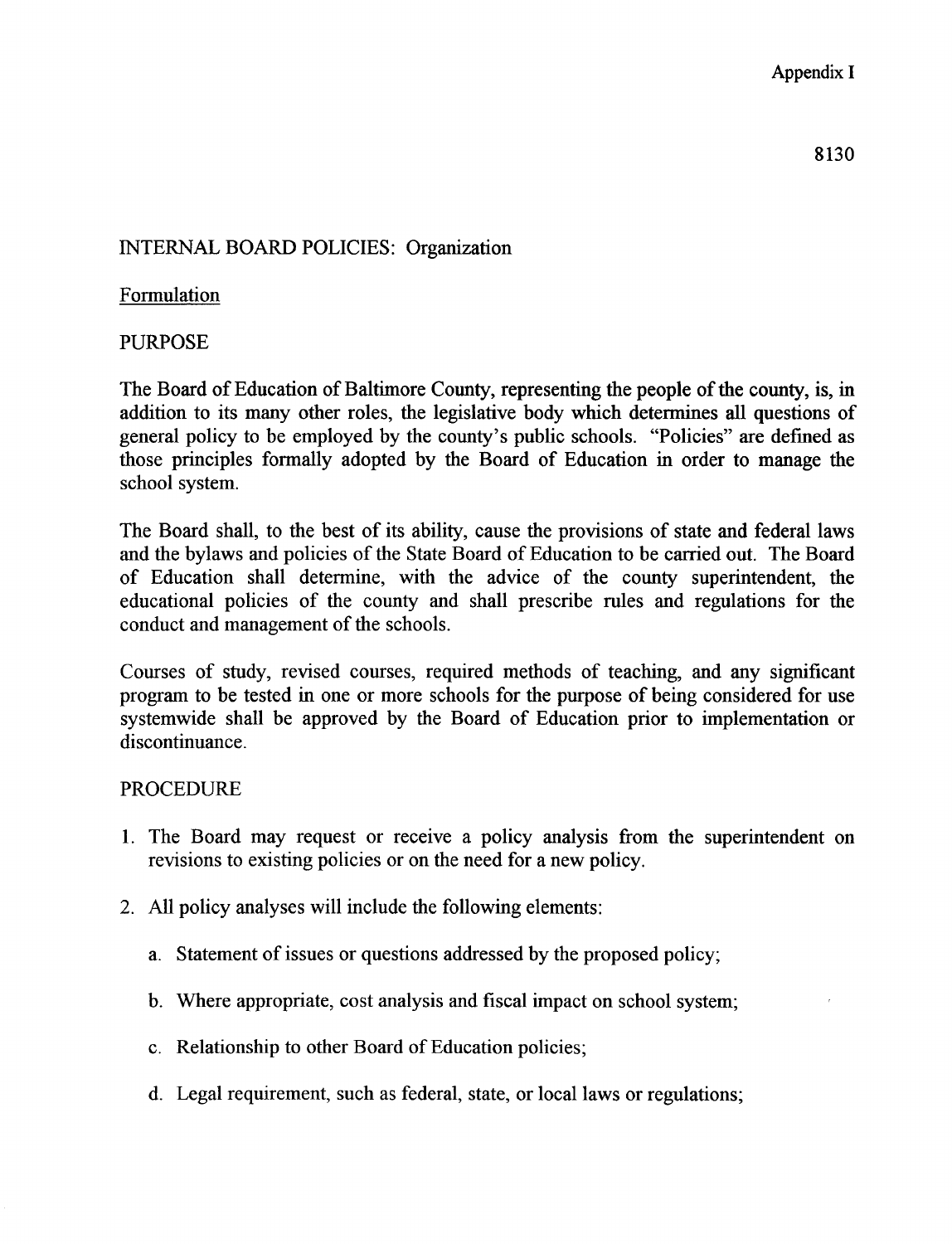# INTERNAL BOARD POLICIES: Organization

## Formulation

## PURPOSE

The Board of Education of Baltimore County, representing the people of the county, is, in addition to its many other roles, the legislative body which determines all questions of general policy to be employed by the county's public schools. "Policies" are defined as those principles formally adopted by the Board of Education in order to manage the school system.

The Board shall, to the best of its ability, cause the provisions of state and federal laws and the bylaws and policies of the State Board of Education to be carried out. The Board of Education shall determine, with the advice of the county superintendent, the educational policies of the county and shall prescribe rules and regulations for the conduct and management of the schools.

Courses of study, revised courses, required methods of teaching, and any significant program to be tested in one or more schools for the purpose of being considered for use systemwide shall be approved by the Board of Education prior to implementation or discontinuance.

## PROCEDURE

- <sup>1</sup> . The Board may request or receive a policy analysis from the superintendent on revisions to existing policies or on the need for a new policy.
- 2. All policy analyses will include the following elements:
	- a. Statement of issues or questions addressed by the proposed policy;
	- b. Where appropriate, cost analysis and fiscal impact on school system;
	- c. Relationship to other Board of Education policies;
	- d. Legal requirement, such as federal, state, or local laws or regulations;